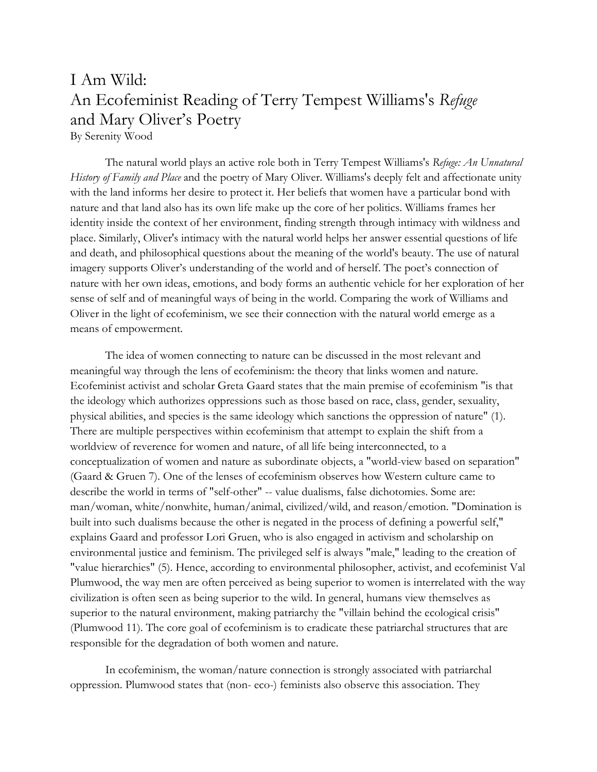## I Am Wild: An Ecofeminist Reading of Terry Tempest Williams's *Refuge*  and Mary Oliver's Poetry By Serenity Wood

The natural world plays an active role both in Terry Tempest Williams's *Refuge: An Unnatural History of Family and Place* and the poetry of Mary Oliver. Williams's deeply felt and affectionate unity with the land informs her desire to protect it. Her beliefs that women have a particular bond with nature and that land also has its own life make up the core of her politics. Williams frames her identity inside the context of her environment, finding strength through intimacy with wildness and place. Similarly, Oliver's intimacy with the natural world helps her answer essential questions of life and death, and philosophical questions about the meaning of the world's beauty. The use of natural imagery supports Oliver's understanding of the world and of herself. The poet's connection of nature with her own ideas, emotions, and body forms an authentic vehicle for her exploration of her sense of self and of meaningful ways of being in the world. Comparing the work of Williams and Oliver in the light of ecofeminism, we see their connection with the natural world emerge as a means of empowerment.

The idea of women connecting to nature can be discussed in the most relevant and meaningful way through the lens of ecofeminism: the theory that links women and nature. Ecofeminist activist and scholar Greta Gaard states that the main premise of ecofeminism "is that the ideology which authorizes oppressions such as those based on race, class, gender, sexuality, physical abilities, and species is the same ideology which sanctions the oppression of nature" (1). There are multiple perspectives within ecofeminism that attempt to explain the shift from a worldview of reverence for women and nature, of all life being interconnected, to a conceptualization of women and nature as subordinate objects, a "world-view based on separation" (Gaard & Gruen 7). One of the lenses of ecofeminism observes how Western culture came to describe the world in terms of "self-other" -- value dualisms, false dichotomies. Some are: man/woman, white/nonwhite, human/animal, civilized/wild, and reason/emotion. "Domination is built into such dualisms because the other is negated in the process of defining a powerful self," explains Gaard and professor Lori Gruen, who is also engaged in activism and scholarship on environmental justice and feminism. The privileged self is always "male," leading to the creation of "value hierarchies" (5). Hence, according to environmental philosopher, activist, and ecofeminist Val Plumwood, the way men are often perceived as being superior to women is interrelated with the way civilization is often seen as being superior to the wild. In general, humans view themselves as superior to the natural environment, making patriarchy the "villain behind the ecological crisis" (Plumwood 11). The core goal of ecofeminism is to eradicate these patriarchal structures that are responsible for the degradation of both women and nature.

In ecofeminism, the woman/nature connection is strongly associated with patriarchal oppression. Plumwood states that (non- eco-) feminists also observe this association. They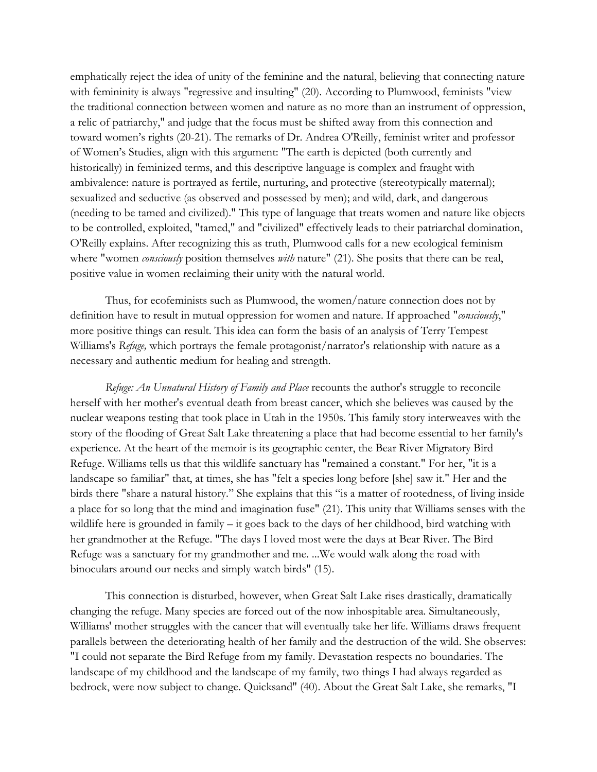emphatically reject the idea of unity of the feminine and the natural, believing that connecting nature with femininity is always "regressive and insulting" (20). According to Plumwood, feminists "view the traditional connection between women and nature as no more than an instrument of oppression, a relic of patriarchy," and judge that the focus must be shifted away from this connection and toward women's rights (20-21). The remarks of Dr. Andrea O'Reilly, feminist writer and professor of Women's Studies, align with this argument: "The earth is depicted (both currently and historically) in feminized terms, and this descriptive language is complex and fraught with ambivalence: nature is portrayed as fertile, nurturing, and protective (stereotypically maternal); sexualized and seductive (as observed and possessed by men); and wild, dark, and dangerous (needing to be tamed and civilized)." This type of language that treats women and nature like objects to be controlled, exploited, "tamed," and "civilized" effectively leads to their patriarchal domination, O'Reilly explains. After recognizing this as truth, Plumwood calls for a new ecological feminism where "women *consciously* position themselves *with* nature" (21). She posits that there can be real, positive value in women reclaiming their unity with the natural world.

Thus, for ecofeminists such as Plumwood, the women/nature connection does not by definition have to result in mutual oppression for women and nature. If approached "*consciously*," more positive things can result. This idea can form the basis of an analysis of Terry Tempest Williams's *Refuge,* which portrays the female protagonist/narrator's relationship with nature as a necessary and authentic medium for healing and strength.

*Refuge: An Unnatural History of Family and Place* recounts the author's struggle to reconcile herself with her mother's eventual death from breast cancer, which she believes was caused by the nuclear weapons testing that took place in Utah in the 1950s. This family story interweaves with the story of the flooding of Great Salt Lake threatening a place that had become essential to her family's experience. At the heart of the memoir is its geographic center, the Bear River Migratory Bird Refuge. Williams tells us that this wildlife sanctuary has "remained a constant." For her, "it is a landscape so familiar" that, at times, she has "felt a species long before [she] saw it." Her and the birds there "share a natural history." She explains that this "is a matter of rootedness, of living inside a place for so long that the mind and imagination fuse" (21). This unity that Williams senses with the wildlife here is grounded in family – it goes back to the days of her childhood, bird watching with her grandmother at the Refuge. "The days I loved most were the days at Bear River. The Bird Refuge was a sanctuary for my grandmother and me. ...We would walk along the road with binoculars around our necks and simply watch birds" (15).

This connection is disturbed, however, when Great Salt Lake rises drastically, dramatically changing the refuge. Many species are forced out of the now inhospitable area. Simultaneously, Williams' mother struggles with the cancer that will eventually take her life. Williams draws frequent parallels between the deteriorating health of her family and the destruction of the wild. She observes: "I could not separate the Bird Refuge from my family. Devastation respects no boundaries. The landscape of my childhood and the landscape of my family, two things I had always regarded as bedrock, were now subject to change. Quicksand" (40). About the Great Salt Lake, she remarks, "I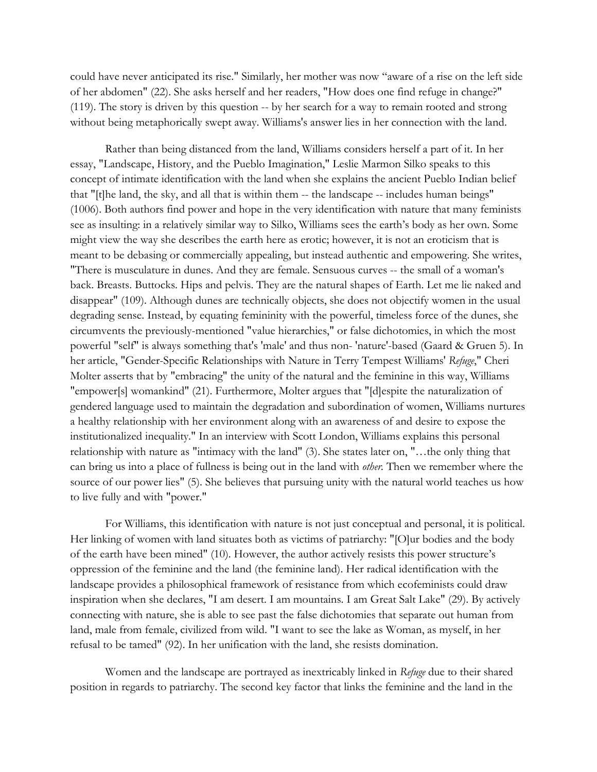could have never anticipated its rise." Similarly, her mother was now "aware of a rise on the left side of her abdomen" (22). She asks herself and her readers, "How does one find refuge in change?" (119). The story is driven by this question -- by her search for a way to remain rooted and strong without being metaphorically swept away. Williams's answer lies in her connection with the land.

Rather than being distanced from the land, Williams considers herself a part of it. In her essay, "Landscape, History, and the Pueblo Imagination," Leslie Marmon Silko speaks to this concept of intimate identification with the land when she explains the ancient Pueblo Indian belief that "[t]he land, the sky, and all that is within them -- the landscape -- includes human beings" (1006). Both authors find power and hope in the very identification with nature that many feminists see as insulting: in a relatively similar way to Silko, Williams sees the earth's body as her own. Some might view the way she describes the earth here as erotic; however, it is not an eroticism that is meant to be debasing or commercially appealing, but instead authentic and empowering. She writes, "There is musculature in dunes. And they are female. Sensuous curves -- the small of a woman's back. Breasts. Buttocks. Hips and pelvis. They are the natural shapes of Earth. Let me lie naked and disappear" (109). Although dunes are technically objects, she does not objectify women in the usual degrading sense. Instead, by equating femininity with the powerful, timeless force of the dunes, she circumvents the previously-mentioned "value hierarchies," or false dichotomies, in which the most powerful "self" is always something that's 'male' and thus non- 'nature'-based (Gaard & Gruen 5). In her article, "Gender-Specific Relationships with Nature in Terry Tempest Williams' *Refuge*," Cheri Molter asserts that by "embracing" the unity of the natural and the feminine in this way, Williams "empower[s] womankind" (21). Furthermore, Molter argues that "[d]espite the naturalization of gendered language used to maintain the degradation and subordination of women, Williams nurtures a healthy relationship with her environment along with an awareness of and desire to expose the institutionalized inequality." In an interview with Scott London, Williams explains this personal relationship with nature as "intimacy with the land" (3). She states later on, "…the only thing that can bring us into a place of fullness is being out in the land with *other.* Then we remember where the source of our power lies" (5). She believes that pursuing unity with the natural world teaches us how to live fully and with "power."

For Williams, this identification with nature is not just conceptual and personal, it is political. Her linking of women with land situates both as victims of patriarchy: "[O]ur bodies and the body of the earth have been mined" (10). However, the author actively resists this power structure's oppression of the feminine and the land (the feminine land). Her radical identification with the landscape provides a philosophical framework of resistance from which ecofeminists could draw inspiration when she declares, "I am desert. I am mountains. I am Great Salt Lake" (29). By actively connecting with nature, she is able to see past the false dichotomies that separate out human from land, male from female, civilized from wild. "I want to see the lake as Woman, as myself, in her refusal to be tamed" (92). In her unification with the land, she resists domination.

Women and the landscape are portrayed as inextricably linked in *Refuge* due to their shared position in regards to patriarchy. The second key factor that links the feminine and the land in the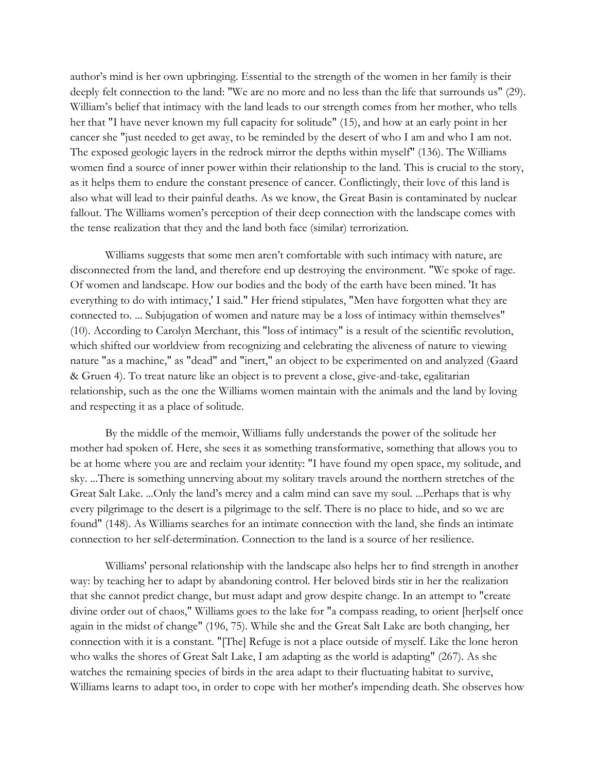author's mind is her own upbringing. Essential to the strength of the women in her family is their deeply felt connection to the land: "We are no more and no less than the life that surrounds us" (29). William's belief that intimacy with the land leads to our strength comes from her mother, who tells her that "I have never known my full capacity for solitude" (15), and how at an early point in her cancer she "just needed to get away, to be reminded by the desert of who I am and who I am not. The exposed geologic layers in the redrock mirror the depths within myself" (136). The Williams women find a source of inner power within their relationship to the land. This is crucial to the story, as it helps them to endure the constant presence of cancer. Conflictingly, their love of this land is also what will lead to their painful deaths. As we know, the Great Basin is contaminated by nuclear fallout. The Williams women's perception of their deep connection with the landscape comes with the tense realization that they and the land both face (similar) terrorization.

Williams suggests that some men aren't comfortable with such intimacy with nature, are disconnected from the land, and therefore end up destroying the environment. "We spoke of rage. Of women and landscape. How our bodies and the body of the earth have been mined. 'It has everything to do with intimacy,' I said." Her friend stipulates, "Men have forgotten what they are connected to. ... Subjugation of women and nature may be a loss of intimacy within themselves" (10). According to Carolyn Merchant, this "loss of intimacy" is a result of the scientific revolution, which shifted our worldview from recognizing and celebrating the aliveness of nature to viewing nature "as a machine," as "dead" and "inert," an object to be experimented on and analyzed (Gaard & Gruen 4). To treat nature like an object is to prevent a close, give-and-take, egalitarian relationship, such as the one the Williams women maintain with the animals and the land by loving and respecting it as a place of solitude.

By the middle of the memoir, Williams fully understands the power of the solitude her mother had spoken of. Here, she sees it as something transformative, something that allows you to be at home where you are and reclaim your identity: "I have found my open space, my solitude, and sky. ...There is something unnerving about my solitary travels around the northern stretches of the Great Salt Lake. ...Only the land's mercy and a calm mind can save my soul. ...Perhaps that is why every pilgrimage to the desert is a pilgrimage to the self. There is no place to hide, and so we are found" (148). As Williams searches for an intimate connection with the land, she finds an intimate connection to her self-determination. Connection to the land is a source of her resilience.

Williams' personal relationship with the landscape also helps her to find strength in another way: by teaching her to adapt by abandoning control. Her beloved birds stir in her the realization that she cannot predict change, but must adapt and grow despite change. In an attempt to "create divine order out of chaos," Williams goes to the lake for "a compass reading, to orient [her]self once again in the midst of change" (196, 75). While she and the Great Salt Lake are both changing, her connection with it is a constant. "[The] Refuge is not a place outside of myself. Like the lone heron who walks the shores of Great Salt Lake, I am adapting as the world is adapting" (267). As she watches the remaining species of birds in the area adapt to their fluctuating habitat to survive, Williams learns to adapt too, in order to cope with her mother's impending death. She observes how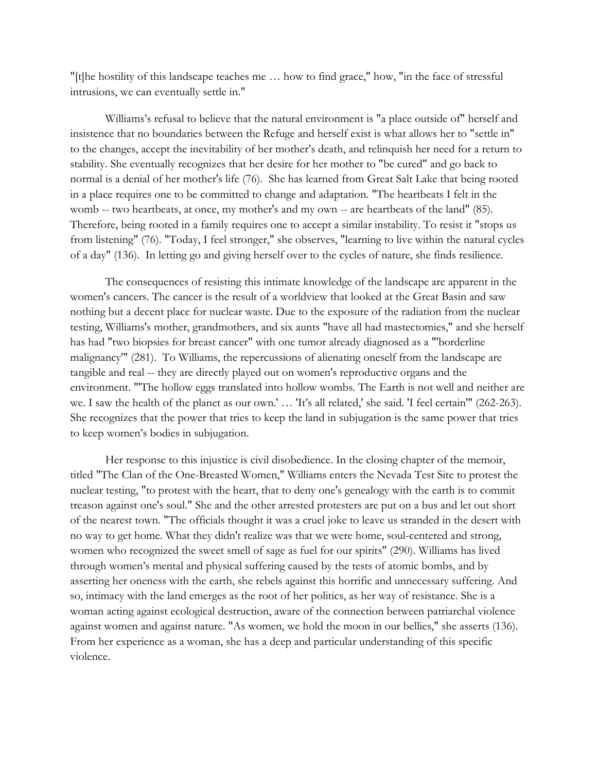"[t]he hostility of this landscape teaches me … how to find grace," how, "in the face of stressful intrusions, we can eventually settle in."

Williams's refusal to believe that the natural environment is "a place outside of" herself and insistence that no boundaries between the Refuge and herself exist is what allows her to "settle in" to the changes, accept the inevitability of her mother's death, and relinquish her need for a return to stability. She eventually recognizes that her desire for her mother to "be cured" and go back to normal is a denial of her mother's life (76). She has learned from Great Salt Lake that being rooted in a place requires one to be committed to change and adaptation. "The heartbeats I felt in the womb -- two heartbeats, at once, my mother's and my own -- are heartbeats of the land" (85). Therefore, being rooted in a family requires one to accept a similar instability. To resist it "stops us from listening" (76). "Today, I feel stronger," she observes, "learning to live within the natural cycles of a day" (136). In letting go and giving herself over to the cycles of nature, she finds resilience.

The consequences of resisting this intimate knowledge of the landscape are apparent in the women's cancers. The cancer is the result of a worldview that looked at the Great Basin and saw nothing but a decent place for nuclear waste. Due to the exposure of the radiation from the nuclear testing, Williams's mother, grandmothers, and six aunts "have all had mastectomies," and she herself has had "two biopsies for breast cancer" with one tumor already diagnosed as a "'borderline malignancy'" (281). To Williams, the repercussions of alienating oneself from the landscape are tangible and real -- they are directly played out on women's reproductive organs and the environment. "'The hollow eggs translated into hollow wombs. The Earth is not well and neither are we. I saw the health of the planet as our own.' … 'It's all related,' she said. 'I feel certain'" (262-263). She recognizes that the power that tries to keep the land in subjugation is the same power that tries to keep women's bodies in subjugation.

Her response to this injustice is civil disobedience. In the closing chapter of the memoir, titled "The Clan of the One-Breasted Women," Williams enters the Nevada Test Site to protest the nuclear testing, "to protest with the heart, that to deny one's genealogy with the earth is to commit treason against one's soul." She and the other arrested protesters are put on a bus and let out short of the nearest town. "The officials thought it was a cruel joke to leave us stranded in the desert with no way to get home. What they didn't realize was that we were home, soul-centered and strong, women who recognized the sweet smell of sage as fuel for our spirits" (290). Williams has lived through women's mental and physical suffering caused by the tests of atomic bombs, and by asserting her oneness with the earth, she rebels against this horrific and unnecessary suffering. And so, intimacy with the land emerges as the root of her politics, as her way of resistance. She is a woman acting against ecological destruction, aware of the connection between patriarchal violence against women and against nature. "As women, we hold the moon in our bellies," she asserts (136). From her experience as a woman, she has a deep and particular understanding of this specific violence.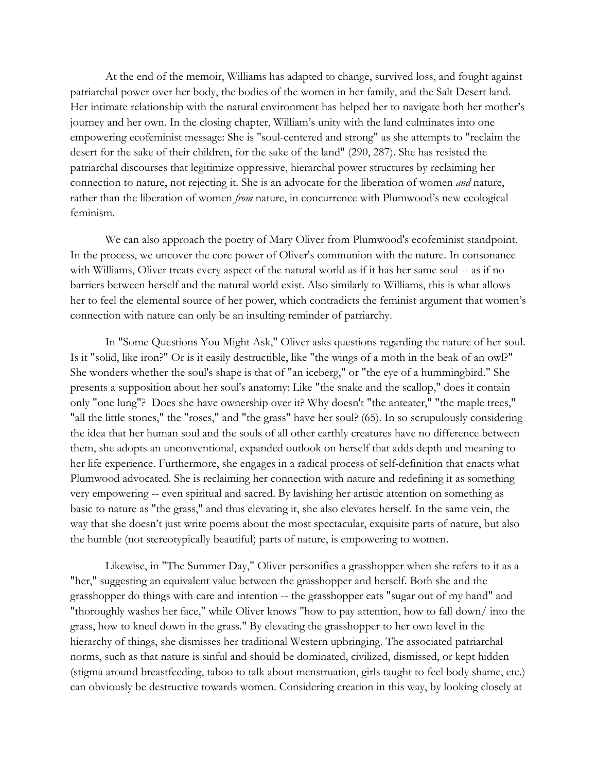At the end of the memoir, Williams has adapted to change, survived loss, and fought against patriarchal power over her body, the bodies of the women in her family, and the Salt Desert land. Her intimate relationship with the natural environment has helped her to navigate both her mother's journey and her own. In the closing chapter, William's unity with the land culminates into one empowering ecofeminist message: She is "soul-centered and strong" as she attempts to "reclaim the desert for the sake of their children, for the sake of the land" (290, 287). She has resisted the patriarchal discourses that legitimize oppressive, hierarchal power structures by reclaiming her connection to nature, not rejecting it. She is an advocate for the liberation of women *and* nature, rather than the liberation of women *from* nature, in concurrence with Plumwood's new ecological feminism.

We can also approach the poetry of Mary Oliver from Plumwood's ecofeminist standpoint. In the process, we uncover the core power of Oliver's communion with the nature. In consonance with Williams, Oliver treats every aspect of the natural world as if it has her same soul -- as if no barriers between herself and the natural world exist. Also similarly to Williams, this is what allows her to feel the elemental source of her power, which contradicts the feminist argument that women's connection with nature can only be an insulting reminder of patriarchy.

In "Some Questions You Might Ask," Oliver asks questions regarding the nature of her soul. Is it "solid, like iron?" Or is it easily destructible, like "the wings of a moth in the beak of an owl?" She wonders whether the soul's shape is that of "an iceberg," or "the eye of a hummingbird." She presents a supposition about her soul's anatomy: Like "the snake and the scallop," does it contain only "one lung"? Does she have ownership over it? Why doesn't "the anteater," "the maple trees," "all the little stones," the "roses," and "the grass" have her soul? (65). In so scrupulously considering the idea that her human soul and the souls of all other earthly creatures have no difference between them, she adopts an unconventional, expanded outlook on herself that adds depth and meaning to her life experience. Furthermore, she engages in a radical process of self-definition that enacts what Plumwood advocated. She is reclaiming her connection with nature and redefining it as something very empowering -- even spiritual and sacred. By lavishing her artistic attention on something as basic to nature as "the grass," and thus elevating it, she also elevates herself. In the same vein, the way that she doesn't just write poems about the most spectacular, exquisite parts of nature, but also the humble (not stereotypically beautiful) parts of nature, is empowering to women.

Likewise, in "The Summer Day," Oliver personifies a grasshopper when she refers to it as a "her," suggesting an equivalent value between the grasshopper and herself. Both she and the grasshopper do things with care and intention -- the grasshopper eats "sugar out of my hand" and "thoroughly washes her face," while Oliver knows "how to pay attention, how to fall down/ into the grass, how to kneel down in the grass." By elevating the grasshopper to her own level in the hierarchy of things, she dismisses her traditional Western upbringing. The associated patriarchal norms, such as that nature is sinful and should be dominated, civilized, dismissed, or kept hidden (stigma around breastfeeding, taboo to talk about menstruation, girls taught to feel body shame, etc.) can obviously be destructive towards women. Considering creation in this way, by looking closely at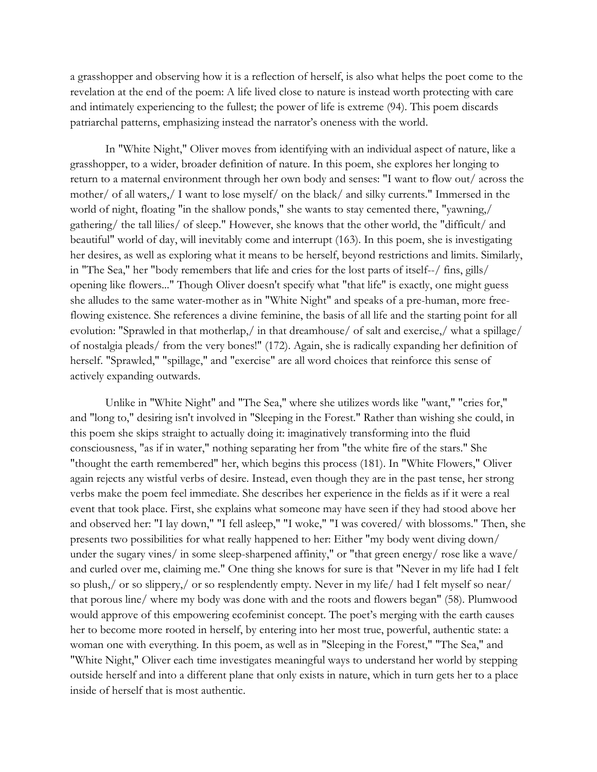a grasshopper and observing how it is a reflection of herself, is also what helps the poet come to the revelation at the end of the poem: A life lived close to nature is instead worth protecting with care and intimately experiencing to the fullest; the power of life is extreme (94). This poem discards patriarchal patterns, emphasizing instead the narrator's oneness with the world.

In "White Night," Oliver moves from identifying with an individual aspect of nature, like a grasshopper, to a wider, broader definition of nature. In this poem, she explores her longing to return to a maternal environment through her own body and senses: "I want to flow out/ across the mother/ of all waters,/ I want to lose myself/ on the black/ and silky currents." Immersed in the world of night, floating "in the shallow ponds," she wants to stay cemented there, "yawning,/ gathering/ the tall lilies/ of sleep." However, she knows that the other world, the "difficult/ and beautiful" world of day, will inevitably come and interrupt (163). In this poem, she is investigating her desires, as well as exploring what it means to be herself, beyond restrictions and limits. Similarly, in "The Sea," her "body remembers that life and cries for the lost parts of itself--/ fins, gills/ opening like flowers..." Though Oliver doesn't specify what "that life" is exactly, one might guess she alludes to the same water-mother as in "White Night" and speaks of a pre-human, more freeflowing existence. She references a divine feminine, the basis of all life and the starting point for all evolution: "Sprawled in that motherlap,/ in that dreamhouse/ of salt and exercise,/ what a spillage/ of nostalgia pleads/ from the very bones!" (172). Again, she is radically expanding her definition of herself. "Sprawled," "spillage," and "exercise" are all word choices that reinforce this sense of actively expanding outwards.

Unlike in "White Night" and "The Sea," where she utilizes words like "want," "cries for," and "long to," desiring isn't involved in "Sleeping in the Forest." Rather than wishing she could, in this poem she skips straight to actually doing it: imaginatively transforming into the fluid consciousness, "as if in water," nothing separating her from "the white fire of the stars." She "thought the earth remembered" her, which begins this process (181). In "White Flowers," Oliver again rejects any wistful verbs of desire. Instead, even though they are in the past tense, her strong verbs make the poem feel immediate. She describes her experience in the fields as if it were a real event that took place. First, she explains what someone may have seen if they had stood above her and observed her: "I lay down," "I fell asleep," "I woke," "I was covered/ with blossoms." Then, she presents two possibilities for what really happened to her: Either "my body went diving down/ under the sugary vines/ in some sleep-sharpened affinity," or "that green energy/ rose like a wave/ and curled over me, claiming me." One thing she knows for sure is that "Never in my life had I felt so plush,/ or so slippery,/ or so resplendently empty. Never in my life/ had I felt myself so near/ that porous line/ where my body was done with and the roots and flowers began" (58). Plumwood would approve of this empowering ecofeminist concept. The poet's merging with the earth causes her to become more rooted in herself, by entering into her most true, powerful, authentic state: a woman one with everything. In this poem, as well as in "Sleeping in the Forest," "The Sea," and "White Night," Oliver each time investigates meaningful ways to understand her world by stepping outside herself and into a different plane that only exists in nature, which in turn gets her to a place inside of herself that is most authentic.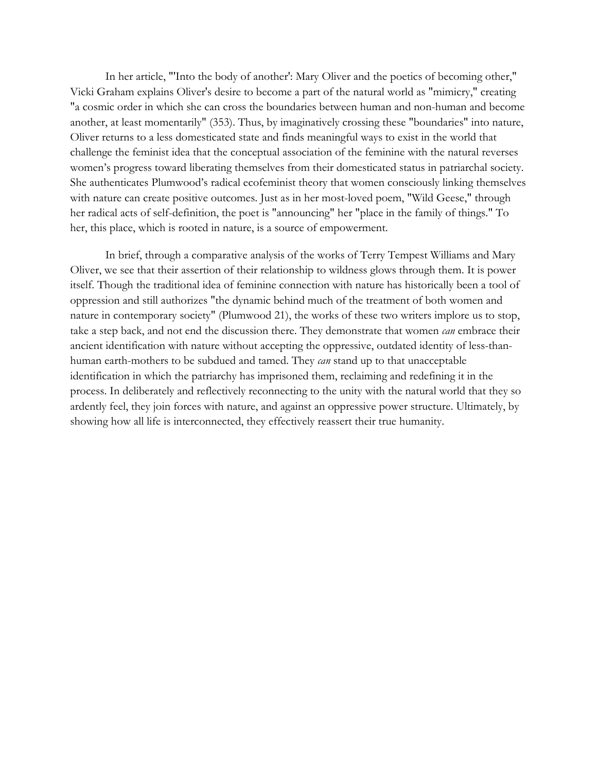In her article, "'Into the body of another': Mary Oliver and the poetics of becoming other," Vicki Graham explains Oliver's desire to become a part of the natural world as "mimicry," creating "a cosmic order in which she can cross the boundaries between human and non-human and become another, at least momentarily" (353). Thus, by imaginatively crossing these "boundaries" into nature, Oliver returns to a less domesticated state and finds meaningful ways to exist in the world that challenge the feminist idea that the conceptual association of the feminine with the natural reverses women's progress toward liberating themselves from their domesticated status in patriarchal society. She authenticates Plumwood's radical ecofeminist theory that women consciously linking themselves with nature can create positive outcomes. Just as in her most-loved poem, "Wild Geese," through her radical acts of self-definition, the poet is "announcing" her "place in the family of things." To her, this place, which is rooted in nature, is a source of empowerment.

In brief, through a comparative analysis of the works of Terry Tempest Williams and Mary Oliver, we see that their assertion of their relationship to wildness glows through them. It is power itself. Though the traditional idea of feminine connection with nature has historically been a tool of oppression and still authorizes "the dynamic behind much of the treatment of both women and nature in contemporary society" (Plumwood 21), the works of these two writers implore us to stop, take a step back, and not end the discussion there. They demonstrate that women *can* embrace their ancient identification with nature without accepting the oppressive, outdated identity of less-thanhuman earth-mothers to be subdued and tamed. They *can* stand up to that unacceptable identification in which the patriarchy has imprisoned them, reclaiming and redefining it in the process. In deliberately and reflectively reconnecting to the unity with the natural world that they so ardently feel, they join forces with nature, and against an oppressive power structure. Ultimately, by showing how all life is interconnected, they effectively reassert their true humanity.